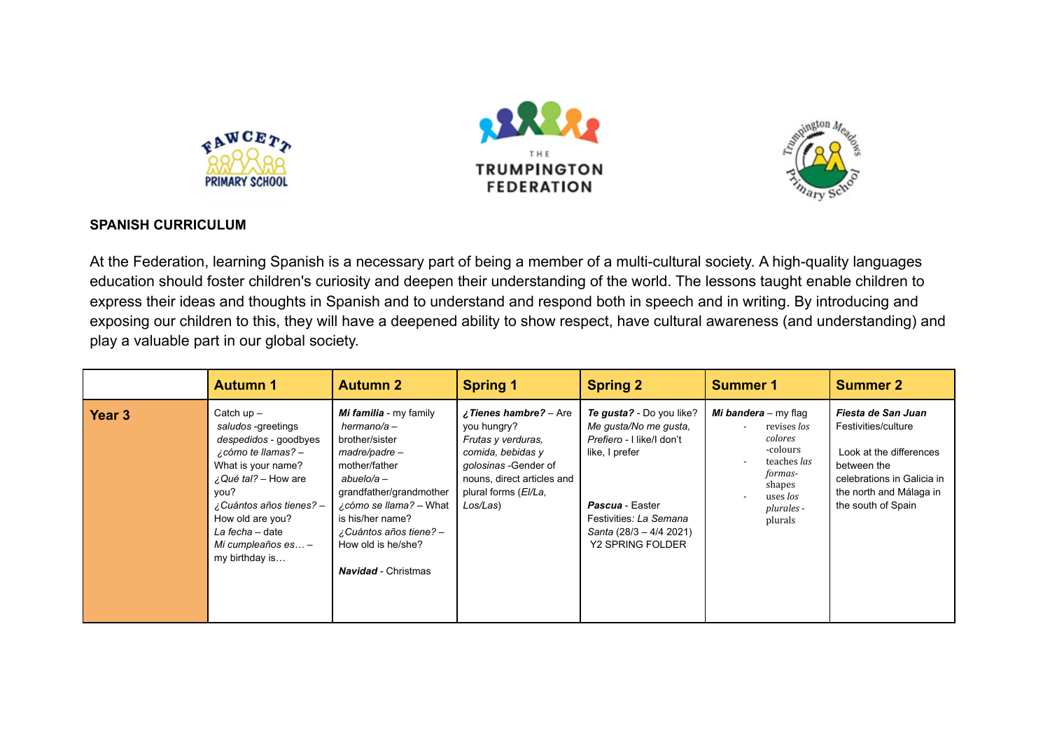





## **SPANISH CURRICULUM**

At the Federation, learning Spanish is a necessary part of being a member of a multi-cultural society. A high-quality languages education should foster children's curiosity and deepen their understanding of the world. The lessons taught enable children to express their ideas and thoughts in Spanish and to understand and respond both in speech and in writing. By introducing and exposing our children to this, they will have a deepened ability to show respect, have cultural awareness (and understanding) and play a valuable part in our global society.

|                   | <b>Autumn 1</b>                                                                                                                                                                                                                                             | <b>Autumn 2</b>                                                                                                                                                                                                                                                  | <b>Spring 1</b>                                                                                                                                                           | <b>Spring 2</b>                                                                                                                                                                                     | <b>Summer 1</b>                                                                                                                     | <b>Summer 2</b>                                                                                                                                                    |
|-------------------|-------------------------------------------------------------------------------------------------------------------------------------------------------------------------------------------------------------------------------------------------------------|------------------------------------------------------------------------------------------------------------------------------------------------------------------------------------------------------------------------------------------------------------------|---------------------------------------------------------------------------------------------------------------------------------------------------------------------------|-----------------------------------------------------------------------------------------------------------------------------------------------------------------------------------------------------|-------------------------------------------------------------------------------------------------------------------------------------|--------------------------------------------------------------------------------------------------------------------------------------------------------------------|
| Year <sub>3</sub> | Catch $up -$<br>saludos -greetings<br>despedidos - goodbyes<br>¿cómo te llamas? -<br>What is your name?<br>$\lambda$ Qué tal? – How are<br>you?<br>¿Cuántos años tienes? -<br>How old are you?<br>La fecha - date<br>Mi cumpleaños es $-$<br>my birthday is | Mi familia - my family<br>hermano/a –<br>brother/sister<br>madre/padre -<br>mother/father<br>$abuelo/a -$<br>grandfather/grandmother<br>¿cómo se llama? – What<br>is his/her name?<br>¿Cuántos años tiene? -<br>How old is he/she?<br><b>Navidad</b> - Christmas | ¿Tienes hambre? - Are<br>you hungry?<br>Frutas y verduras,<br>comida, bebidas y<br>golosinas -Gender of<br>nouns, direct articles and<br>plural forms (El/La,<br>Los/Las) | Te gusta? - Do you like?<br>Me gusta/No me gusta,<br>Prefiero - I like/I don't<br>like, I prefer<br>Pascua - Easter<br>Festivities: La Semana<br>Santa (28/3 - 4/4 2021)<br><b>Y2 SPRING FOLDER</b> | Mi bandera - my flag<br>revises los<br>colores<br>-colours<br>teaches las<br>formas-<br>shapes<br>uses los<br>plurales -<br>plurals | Fiesta de San Juan<br>Festivities/culture<br>Look at the differences<br>between the<br>celebrations in Galicia in<br>the north and Málaga in<br>the south of Spain |